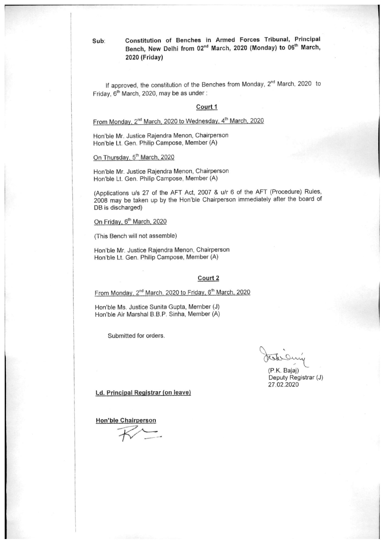Constitution of Benches in Armed Forces Tribunal, Principal Bench, New Delhi from 02<sup>nd</sup> March, 2020 (Monday) to 06<sup>th</sup> March, 2020 (Friday)

If approved, the constitution of the Benches from Monday, 2<sup>nd</sup> March, 2020 to Friday, 6<sup>th</sup> March, 2020, may be as under:

#### Court 1

From Monday, 2<sup>nd</sup> March, 2020 to Wednesday, 4<sup>th</sup> March, 2020

Hon'ble Mr. Justice Rajendra Menon, Chairperson Hon'ble Lt. Gen. Philip Campose, Member (A)

On Thursday, 5th March, 2020

Sub:

Hon'ble Mr. Justice Rajendra Menon, Chairperson Hon'ble Lt. Gen. Philip Campose, Member (A)

(Applications u/s 27 of the AFT Act, 2007 & u/r 6 of the AFT (Procedure) Rules, 2008 may be taken up by the Hon'ble Chairperson immediately after the board of DB is discharged)

On Friday, 6<sup>th</sup> March, 2020

(This Bench will not assemble)

Hon'ble Mr. Justice Rajendra Menon, Chairperson Hon'ble Lt. Gen. Philip Campose, Member (A)

#### Court 2

From Monday, 2<sup>nd</sup> March, 2020 to Friday, 6<sup>th</sup> March, 2020

Hon'ble Ms. Justice Sunita Gupta, Member (J) Hon'ble Air Marshal B.B.P. Sinha, Member (A)

Submitted for orders.

(P.K. Bajaj) Deputy Registrar (J) 27.02.2020

Ld. Principal Registrar (on leave)

**Hon'ble Chairperson**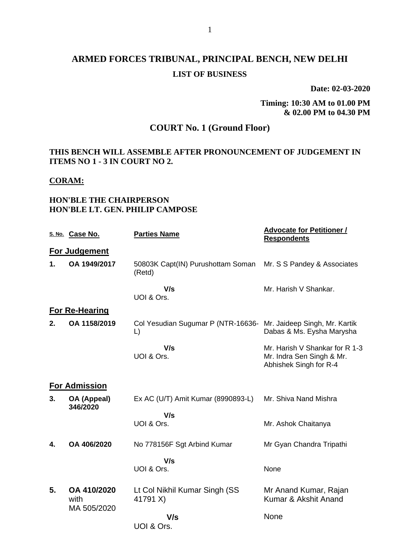# **ARMED FORCES TRIBUNAL, PRINCIPAL BENCH, NEW DELHI LIST OF BUSINESS**

**Date: 02-03-2020**

**Timing: 10:30 AM to 01.00 PM & 02.00 PM to 04.30 PM**

# **COURT No. 1 (Ground Floor)**

#### **THIS BENCH WILL ASSEMBLE AFTER PRONOUNCEMENT OF JUDGEMENT IN ITEMS NO 1 - 3 IN COURT NO 2.**

#### **CORAM:**

#### **HON'BLE THE CHAIRPERSON HON'BLE LT. GEN. PHILIP CAMPOSE**

|    | S. No. Case No.         | <b>Parties Name</b>                                                        | <b>Advocate for Petitioner /</b><br><b>Respondents</b>                                |  |  |  |
|----|-------------------------|----------------------------------------------------------------------------|---------------------------------------------------------------------------------------|--|--|--|
|    | For Judgement           |                                                                            |                                                                                       |  |  |  |
| 1. | OA 1949/2017            | 50803K Capt(IN) Purushottam Soman<br>(Retd)                                | Mr. S S Pandey & Associates                                                           |  |  |  |
|    |                         | V/s<br>UOI & Ors.                                                          | Mr. Harish V Shankar.                                                                 |  |  |  |
|    | <b>For Re-Hearing</b>   |                                                                            |                                                                                       |  |  |  |
| 2. | OA 1158/2019            | Col Yesudian Sugumar P (NTR-16636- Mr. Jaideep Singh, Mr. Kartik<br>$\Box$ | Dabas & Ms. Eysha Marysha                                                             |  |  |  |
|    |                         | V/s<br>UOI & Ors.                                                          | Mr. Harish V Shankar for R 1-3<br>Mr. Indra Sen Singh & Mr.<br>Abhishek Singh for R-4 |  |  |  |
|    | <b>For Admission</b>    |                                                                            |                                                                                       |  |  |  |
| 3. | OA (Appeal)<br>346/2020 | Ex AC (U/T) Amit Kumar (8990893-L)                                         | Mr. Shiva Nand Mishra                                                                 |  |  |  |
|    |                         | V/s<br>UOI & Ors.                                                          | Mr. Ashok Chaitanya                                                                   |  |  |  |
| 4. | OA 406/2020             | No 778156F Sgt Arbind Kumar                                                | Mr Gyan Chandra Tripathi                                                              |  |  |  |
|    |                         | V/s<br>UOI & Ors.                                                          | None                                                                                  |  |  |  |
| 5. | OA 410/2020<br>with     | Lt Col Nikhil Kumar Singh (SS<br>41791 X)                                  | Mr Anand Kumar, Rajan<br>Kumar & Akshit Anand                                         |  |  |  |
|    | MA 505/2020             | V/s<br>UOI & Ors.                                                          | None                                                                                  |  |  |  |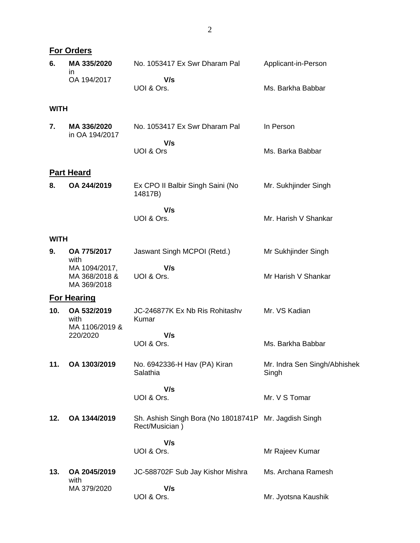|             | <b>For Orders</b>                                 |                                                                         |                                       |
|-------------|---------------------------------------------------|-------------------------------------------------------------------------|---------------------------------------|
| 6.          | MA 335/2020<br>in.                                | No. 1053417 Ex Swr Dharam Pal                                           | Applicant-in-Person                   |
|             | OA 194/2017                                       | V/s<br>UOI & Ors.                                                       | Ms. Barkha Babbar                     |
| <b>WITH</b> |                                                   |                                                                         |                                       |
| 7.          | MA 336/2020<br>in OA 194/2017                     | No. 1053417 Ex Swr Dharam Pal                                           | In Person                             |
|             |                                                   | V/s<br>UOI & Ors                                                        | Ms. Barka Babbar                      |
|             | <b>Part Heard</b>                                 |                                                                         |                                       |
| 8.          | OA 244/2019                                       | Ex CPO II Balbir Singh Saini (No<br>14817B)                             | Mr. Sukhjinder Singh                  |
|             |                                                   | V/s<br>UOI & Ors.                                                       | Mr. Harish V Shankar                  |
| <b>WITH</b> |                                                   |                                                                         |                                       |
| 9.          | OA 775/2017<br>with                               | Jaswant Singh MCPOI (Retd.)                                             | Mr Sukhjinder Singh                   |
|             | MA 1094/2017,<br>MA 368/2018 &<br>MA 369/2018     | V/s<br>UOI & Ors.                                                       | Mr Harish V Shankar                   |
|             | <b>For Hearing</b>                                |                                                                         |                                       |
| 10.         | OA 532/2019<br>with<br>MA 1106/2019 &<br>220/2020 | JC-246877K Ex Nb Ris Rohitashv<br>Kumar                                 | Mr. VS Kadian                         |
|             |                                                   | V/s<br>UOI & Ors.                                                       | Ms. Barkha Babbar                     |
| 11.         | OA 1303/2019                                      | No. 6942336-H Hav (PA) Kiran<br>Salathia                                | Mr. Indra Sen Singh/Abhishek<br>Singh |
|             |                                                   | V/s<br>UOI & Ors.                                                       | Mr. V S Tomar                         |
| 12.         | OA 1344/2019                                      | Sh. Ashish Singh Bora (No 18018741P Mr. Jagdish Singh<br>Rect/Musician) |                                       |
|             |                                                   | V/s<br>UOI & Ors.                                                       | Mr Rajeev Kumar                       |
| 13.         | OA 2045/2019<br>with                              | JC-588702F Sub Jay Kishor Mishra                                        | Ms. Archana Ramesh                    |
|             | MA 379/2020                                       | V/s<br>UOI & Ors.                                                       | Mr. Jyotsna Kaushik                   |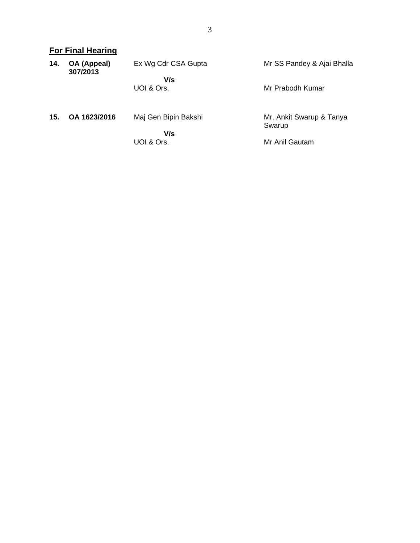|     | <b>For Final Hearing</b> |                      |                                    |  |  |
|-----|--------------------------|----------------------|------------------------------------|--|--|
| 14. | OA (Appeal)<br>307/2013  | Ex Wg Cdr CSA Gupta  | Mr SS Pandey & Ajai Bhalla         |  |  |
|     |                          | V/s                  |                                    |  |  |
|     |                          | UOI & Ors.           | Mr Prabodh Kumar                   |  |  |
| 15. | OA 1623/2016             | Maj Gen Bipin Bakshi | Mr. Ankit Swarup & Tanya<br>Swarup |  |  |
|     |                          | V/s                  |                                    |  |  |
|     |                          | UOI & Ors.           | Mr Anil Gautam                     |  |  |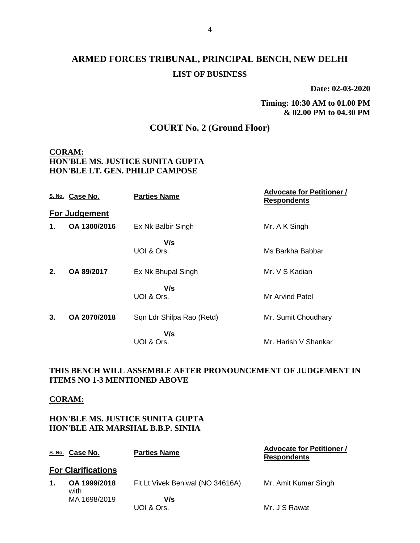**Date: 02-03-2020**

**Timing: 10:30 AM to 01.00 PM & 02.00 PM to 04.30 PM**

## **COURT No. 2 (Ground Floor)**

### **CORAM: HON'BLE MS. JUSTICE SUNITA GUPTA HON'BLE LT. GEN. PHILIP CAMPOSE**

|    | S. No. Case No. | <b>Parties Name</b>       | <b>Advocate for Petitioner /</b><br><b>Respondents</b> |
|----|-----------------|---------------------------|--------------------------------------------------------|
|    | For Judgement   |                           |                                                        |
| 1. | OA 1300/2016    | Ex Nk Balbir Singh        | Mr. A K Singh                                          |
|    |                 | V/s<br>UOI & Ors.         | Ms Barkha Babbar                                       |
| 2. | OA 89/2017      | Ex Nk Bhupal Singh        | Mr. V S Kadian                                         |
|    |                 | V/s<br>UOI & Ors.         | Mr Arvind Patel                                        |
| 3. | OA 2070/2018    | Sqn Ldr Shilpa Rao (Retd) | Mr. Sumit Choudhary                                    |
|    |                 | V/s<br>UOI & Ors.         | Mr. Harish V Shankar                                   |

### **THIS BENCH WILL ASSEMBLE AFTER PRONOUNCEMENT OF JUDGEMENT IN ITEMS NO 1-3 MENTIONED ABOVE**

#### **CORAM:**

#### **HON'BLE MS. JUSTICE SUNITA GUPTA HON'BLE AIR MARSHAL B.B.P. SINHA**

|    | <u>s. No.</u> Case No.    | <b>Parties Name</b>              | <b>Advocate for Petitioner /</b><br><b>Respondents</b> |
|----|---------------------------|----------------------------------|--------------------------------------------------------|
|    | <b>For Clarifications</b> |                                  |                                                        |
| 1. | OA 1999/2018<br>with      | Flt Lt Vivek Beniwal (NO 34616A) | Mr. Amit Kumar Singh                                   |
|    | MA 1698/2019              | V/s                              |                                                        |
|    |                           | UOI & Ors.                       | Mr. J S Rawat                                          |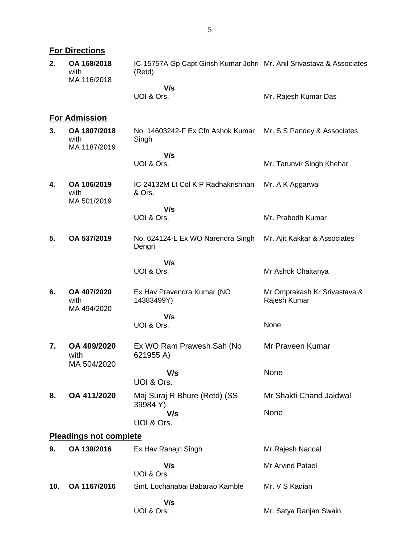|     | <b>For Directions</b>                |                                                                                 |                                              |  |  |  |
|-----|--------------------------------------|---------------------------------------------------------------------------------|----------------------------------------------|--|--|--|
| 2.  | OA 168/2018<br>with<br>MA 116/2018   | IC-15757A Gp Capt Girish Kumar Johri Mr. Anil Srivastava & Associates<br>(Retd) |                                              |  |  |  |
|     |                                      | V/s<br>UOI & Ors.                                                               | Mr. Rajesh Kumar Das                         |  |  |  |
|     | <b>For Admission</b>                 |                                                                                 |                                              |  |  |  |
| 3.  | OA 1807/2018<br>with<br>MA 1187/2019 | No. 14603242-F Ex Cfn Ashok Kumar<br>Singh                                      | Mr. S S Pandey & Associates                  |  |  |  |
|     |                                      | V/s                                                                             |                                              |  |  |  |
|     |                                      | UOI & Ors.                                                                      | Mr. Tarunvir Singh Khehar                    |  |  |  |
| 4.  | OA 106/2019<br>with<br>MA 501/2019   | IC-24132M Lt Col K P Radhakrishnan<br>& Ors.                                    | Mr. A K Aggarwal                             |  |  |  |
|     |                                      | V/s<br>UOI & Ors.                                                               | Mr. Prabodh Kumar                            |  |  |  |
|     |                                      |                                                                                 |                                              |  |  |  |
| 5.  | OA 537/2019                          | No. 624124-L Ex WO Narendra Singh<br>Dengri                                     | Mr. Ajit Kakkar & Associates                 |  |  |  |
|     |                                      | V/s                                                                             |                                              |  |  |  |
|     |                                      | UOI & Ors.                                                                      | Mr Ashok Chaitanya                           |  |  |  |
| 6.  | OA 407/2020<br>with<br>MA 494/2020   | Ex Hav Pravendra Kumar (NO<br>14383499Y)                                        | Mr Omprakash Kr Srivastava &<br>Rajesh Kumar |  |  |  |
|     |                                      | V/s                                                                             |                                              |  |  |  |
|     |                                      | UOI & Ors.                                                                      | None                                         |  |  |  |
| 7.  | OA 409/2020<br>with                  | Ex WO Ram Prawesh Sah (No<br>621955 A)                                          | Mr Praveen Kumar                             |  |  |  |
|     | MA 504/2020                          | V/s                                                                             | None                                         |  |  |  |
|     |                                      | UOI & Ors.                                                                      |                                              |  |  |  |
| 8.  | OA 411/2020                          | Maj Suraj R Bhure (Retd) (SS<br>39984 Y)                                        | Mr Shakti Chand Jaidwal                      |  |  |  |
|     |                                      | V/s                                                                             | None                                         |  |  |  |
|     |                                      | UOI & Ors.                                                                      |                                              |  |  |  |
|     | <b>Pleadings not complete</b>        |                                                                                 |                                              |  |  |  |
| 9.  | OA 139/2016                          | Ex Hav Ranajn Singh                                                             | Mr. Rajesh Nandal                            |  |  |  |
|     |                                      | V/s<br>UOI & Ors.                                                               | Mr Arvind Patael                             |  |  |  |
| 10. | OA 1167/2016                         | Smt. Lochanabai Babarao Kamble                                                  | Mr. V S Kadian                               |  |  |  |
|     |                                      | V/s<br>UOI & Ors.                                                               | Mr. Satya Ranjan Swain                       |  |  |  |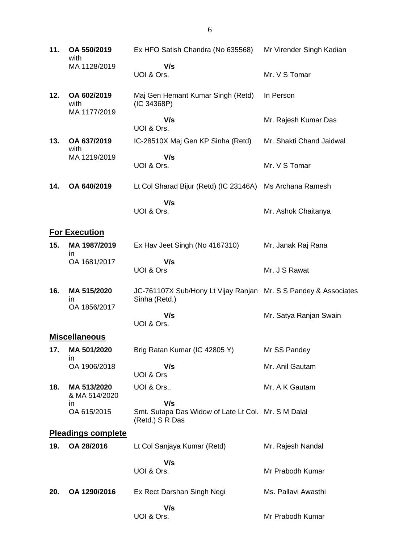| 11. | OA 550/2019<br>with                 | Ex HFO Satish Chandra (No 635568)                                                | Mr Virender Singh Kadian |
|-----|-------------------------------------|----------------------------------------------------------------------------------|--------------------------|
|     | MA 1128/2019                        | V/s<br>UOI & Ors.                                                                | Mr. V S Tomar            |
| 12. | OA 602/2019<br>with<br>MA 1177/2019 | Maj Gen Hemant Kumar Singh (Retd)<br>(IC 34368P)                                 | In Person                |
|     |                                     | V/s<br>UOI & Ors.                                                                | Mr. Rajesh Kumar Das     |
| 13. | OA 637/2019<br>with                 | IC-28510X Maj Gen KP Sinha (Retd)                                                | Mr. Shakti Chand Jaidwal |
|     | MA 1219/2019                        | V/s<br>UOI & Ors.                                                                | Mr. V S Tomar            |
| 14. | OA 640/2019                         | Lt Col Sharad Bijur (Retd) (IC 23146A)                                           | Ms Archana Ramesh        |
|     |                                     | V/s<br>UOI & Ors.                                                                | Mr. Ashok Chaitanya      |
|     | <b>For Execution</b>                |                                                                                  |                          |
| 15. | MA 1987/2019<br>in.                 | Ex Hav Jeet Singh (No 4167310)                                                   | Mr. Janak Raj Rana       |
|     | OA 1681/2017                        | V/s<br>UOI & Ors                                                                 | Mr. J S Rawat            |
| 16. | MA 515/2020<br>in                   | JC-761107X Sub/Hony Lt Vijay Ranjan Mr. S S Pandey & Associates<br>Sinha (Retd.) |                          |
|     | OA 1856/2017                        | V/s<br>UOI & Ors.                                                                | Mr. Satya Ranjan Swain   |
|     | <b>Miscellaneous</b>                |                                                                                  |                          |
| 17. | MA 501/2020<br>ın                   | Brig Ratan Kumar (IC 42805 Y)                                                    | Mr SS Pandey             |
|     | OA 1906/2018                        | V/s<br>UOI & Ors                                                                 | Mr. Anil Gautam          |
| 18. | MA 513/2020<br>& MA 514/2020        | UOI & Ors,.                                                                      | Mr. A K Gautam           |
|     | in.<br>OA 615/2015                  | V/s<br>Smt. Sutapa Das Widow of Late Lt Col. Mr. S M Dalal<br>(Retd.) S R Das    |                          |
|     | <b>Pleadings complete</b>           |                                                                                  |                          |
| 19. | OA 28/2016                          | Lt Col Sanjaya Kumar (Retd)                                                      | Mr. Rajesh Nandal        |
|     |                                     | V/s<br>UOI & Ors.                                                                | Mr Prabodh Kumar         |
| 20. | OA 1290/2016                        | Ex Rect Darshan Singh Negi                                                       | Ms. Pallavi Awasthi      |
|     |                                     | V/s<br>UOI & Ors.                                                                | Mr Prabodh Kumar         |

6